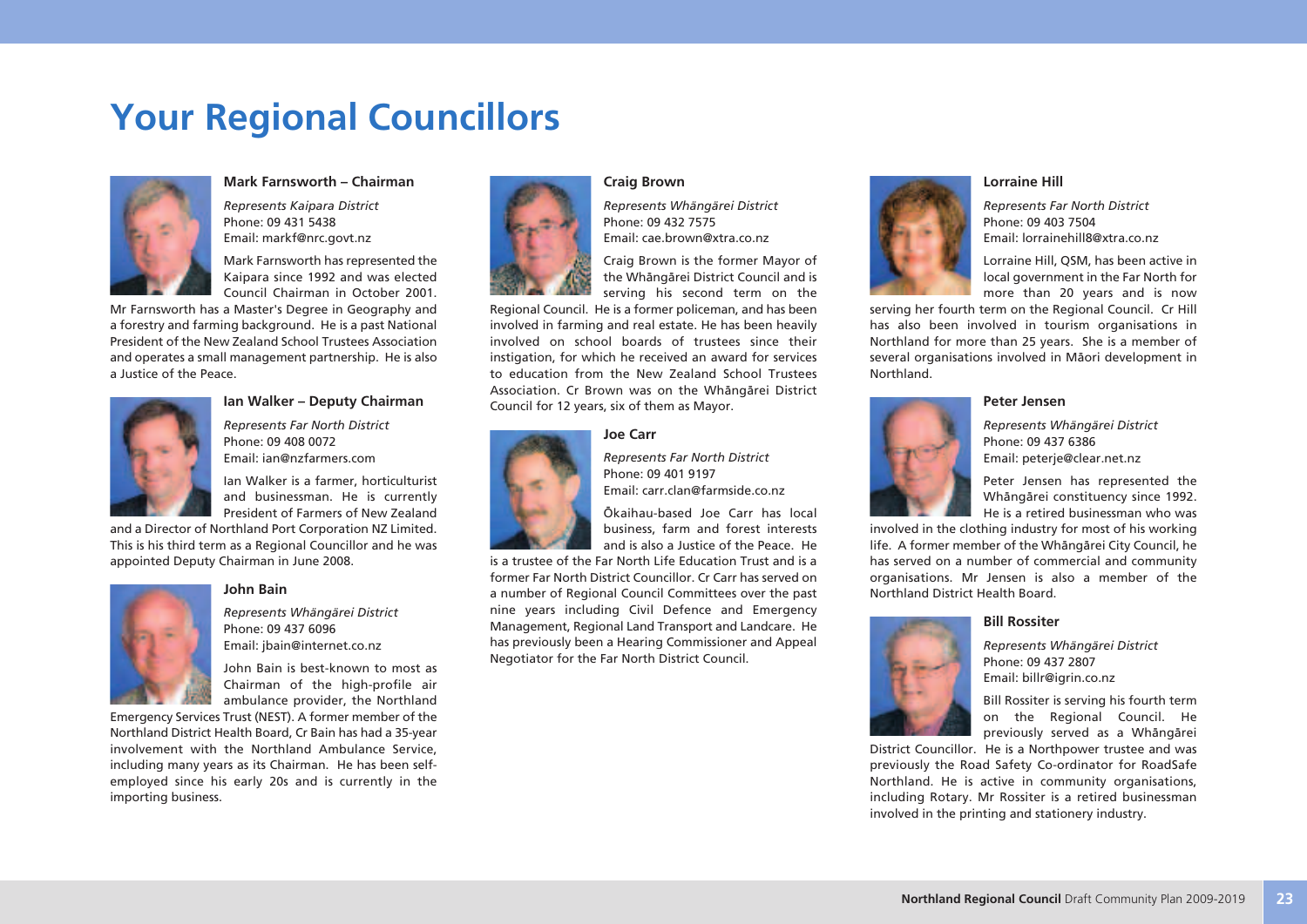# **Your Regional Councillors**



#### **Mark Farnsworth – Chairman**

*Represents Kaipara District* Phone: 09 431 5438 Email: markf@nrc.govt.nz

Mark Farnsworth has represented the Kaipara since 1992 and was elected Council Chairman in October 2001.

Mr Farnsworth has a Master's Degree in Geography and a forestry and farming background. He is a past National President of the New Zealand School Trustees Association and operates a small management partnership. He is also a Justice of the Peace.



### **Ian Walker – Deputy Chairman**

*Represents Far North District* Phone: 09 408 0072 Email: ian@nzfarmers.com

Ian Walker is a farmer, horticulturist and businessman. He is currently President of Farmers of New Zealand

and a Director of Northland Port Corporation NZ Limited. This is his third term as a Regional Councillor and he was appointed Deputy Chairman in June 2008.



#### **John Bain**

*Represents Whängärei District* Phone: 09 437 6096 Email: jbain@internet.co.nz

John Bain is best-known to most as Chairman of the high-profile air ambulance provider, the Northland

Emergency Services Trust (NEST). A former member of the Northland District Health Board, Cr Bain has had a 35-year involvement with the Northland Ambulance Service, including many years as its Chairman. He has been selfemployed since his early 20s and is currently in the importing business.



#### **Craig Brown**

*Represents Whängärei District* Phone: 09 432 7575 Email: cae.brown@xtra.co.nz

Craig Brown is the former Mayor of the Whängärei District Council and is serving his second term on the

Regional Council. He is a former policeman, and has been involved in farming and real estate. He has been heavily involved on school boards of trustees since their instigation, for which he received an award for services to education from the New Zealand School Trustees Association. Cr Brown was on the Whängärei District Council for 12 years, six of them as Mayor.



#### **Joe Carr**

*Represents Far North District* Phone: 09 401 9197 Email: carr.clan@farmside.co.nz

Ökaihau-based Joe Carr has local business, farm and forest interests and is also a Justice of the Peace. He

is a trustee of the Far North Life Education Trust and is a former Far North District Councillor. Cr Carr has served on a number of Regional Council Committees over the past nine years including Civil Defence and Emergency Management, Regional Land Transport and Landcare. He has previously been a Hearing Commissioner and Appeal Negotiator for the Far North District Council.



#### **Lorraine Hill**

*Represents Far North District* Phone: 09 403 7504 Email: lorrainehill8@xtra.co.nz

Lorraine Hill, QSM, has been active in local government in the Far North for more than 20 years and is now

serving her fourth term on the Regional Council. Cr Hill has also been involved in tourism organisations in Northland for more than 25 years. She is a member of several organisations involved in Mäori development in **Northland** 

#### **Peter Jensen**



Peter Jensen has represented the Whängärei constituency since 1992. He is a retired businessman who was

involved in the clothing industry for most of his working life. A former member of the Whängärei City Council, he has served on a number of commercial and community organisations. Mr Jensen is also a member of the Northland District Health Board.

#### **Bill Rossiter**



*Represents Whängärei District* Phone: 09 437 2807 Email: billr@igrin.co.nz

Bill Rossiter is serving his fourth term on the Regional Council. He previously served as a Whängärei

District Councillor. He is a Northpower trustee and was previously the Road Safety Co-ordinator for RoadSafe Northland. He is active in community organisations, including Rotary. Mr Rossiter is a retired businessman involved in the printing and stationery industry.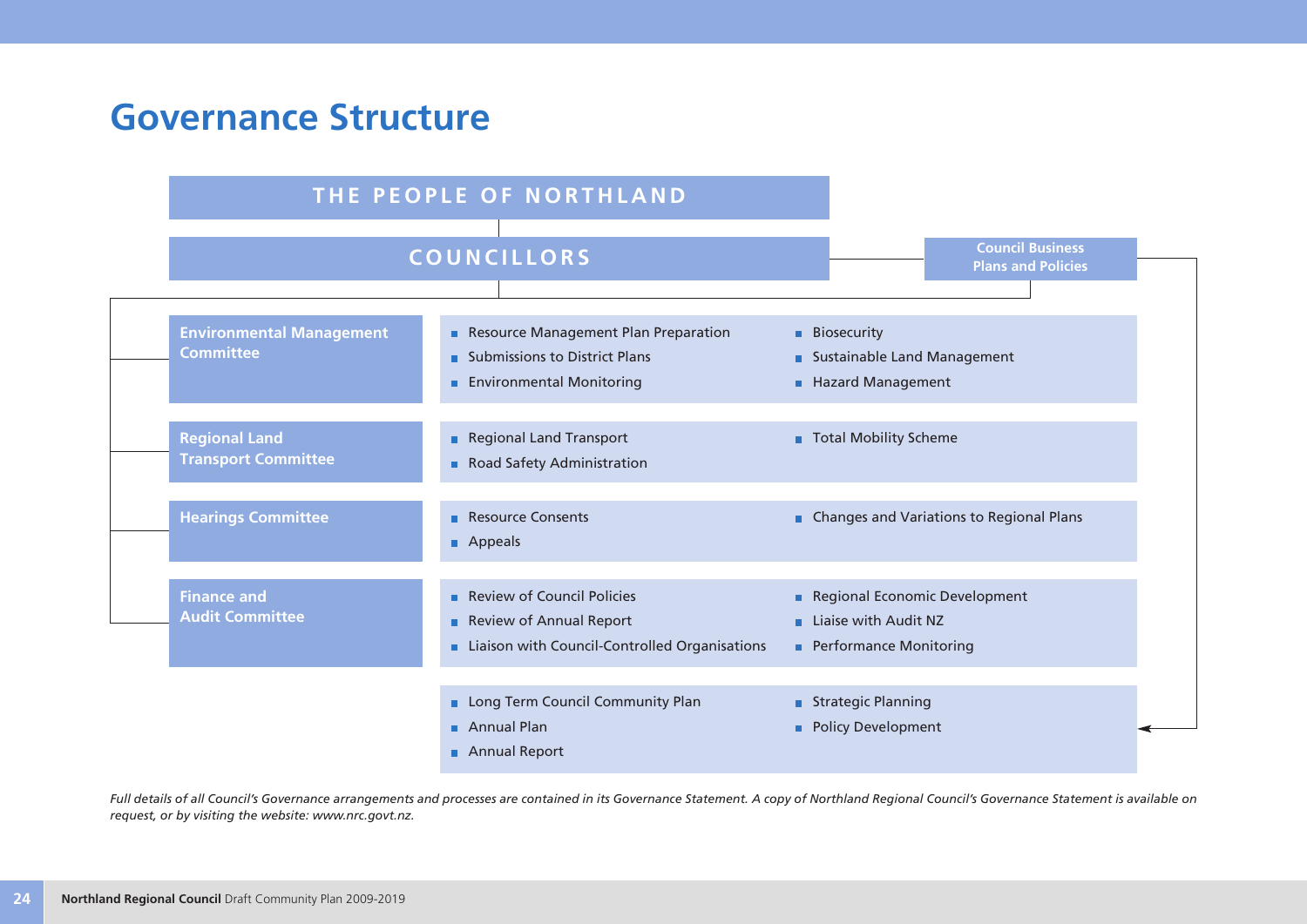# **Governance Structure**

|                                                     | THE PEOPLE OF NORTHLAND                                                                                    |                         |                                                                                        |
|-----------------------------------------------------|------------------------------------------------------------------------------------------------------------|-------------------------|----------------------------------------------------------------------------------------|
| <b>COUNCILLORS</b>                                  |                                                                                                            |                         | <b>Council Business</b><br><b>Plans and Policies</b>                                   |
| <b>Environmental Management</b><br><b>Committee</b> | Resource Management Plan Preparation<br>■ Submissions to District Plans<br><b>Environmental Monitoring</b> | <b>Biosecurity</b><br>п | Sustainable Land Management<br><b>Hazard Management</b>                                |
| <b>Regional Land</b><br><b>Transport Committee</b>  | Regional Land Transport<br>Road Safety Administration                                                      |                         | Total Mobility Scheme                                                                  |
| <b>Hearings Committee</b>                           | Resource Consents<br>Appeals                                                                               |                         | Changes and Variations to Regional Plans                                               |
| <b>Finance and</b><br><b>Audit Committee</b>        | Review of Council Policies<br>Review of Annual Report<br>Liaison with Council-Controlled Organisations     | ш                       | <b>Regional Economic Development</b><br>Liaise with Audit NZ<br>Performance Monitoring |
|                                                     | Long Term Council Community Plan<br>Annual Plan<br>Annual Report                                           |                         | Strategic Planning<br><b>Policy Development</b>                                        |

*Full details of all Council's Governance arrangements and processes are contained in its Governance Statement. A copy of Northland Regional Council's Governance Statement is available on request, or by visiting the website: www.nrc.govt.nz.*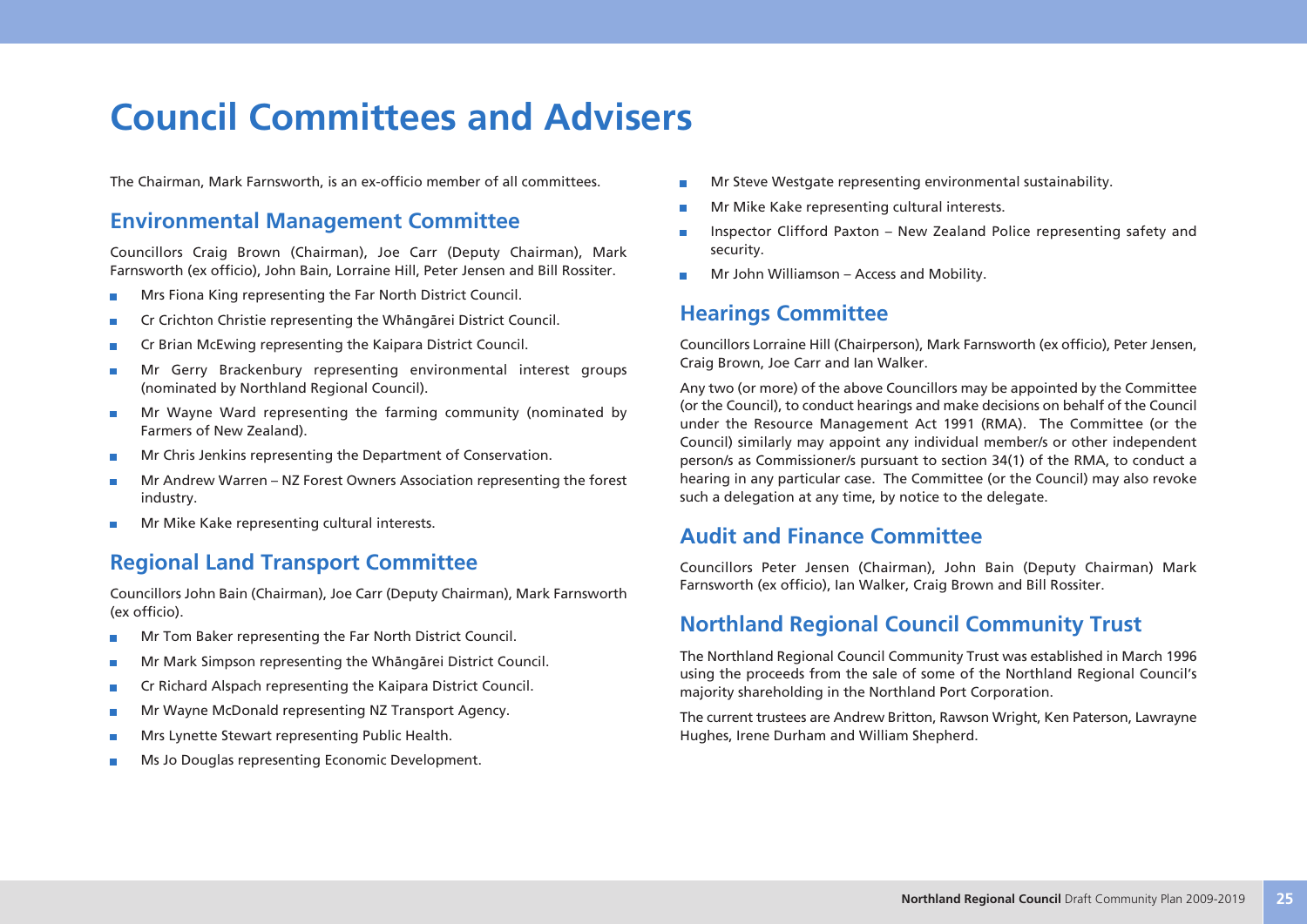# **Council Committees and Advisers**

The Chairman, Mark Farnsworth, is an ex-officio member of all committees.

## **Environmental Management Committee**

Councillors Craig Brown (Chairman), Joe Carr (Deputy Chairman), Mark Farnsworth (ex officio), John Bain, Lorraine Hill, Peter Jensen and Bill Rossiter.

- Mrs Fiona King representing the Far North District Council.  $\overline{\phantom{a}}$
- Cr Crichton Christie representing the Whängärei District Council. **The State**
- Cr Brian McEwing representing the Kaipara District Council. п
- Mr Gerry Brackenbury representing environmental interest groups T. (nominated by Northland Regional Council).
- Mr Wayne Ward representing the farming community (nominated by  $\overline{\phantom{a}}$ Farmers of New Zealand).
- Mr Chris Jenkins representing the Department of Conservation. r.
- Mr Andrew Warren NZ Forest Owners Association representing the forest r. industry.
- Mr Mike Kake representing cultural interests.  $\overline{\phantom{a}}$

# **Regional Land Transport Committee**

Councillors John Bain (Chairman), Joe Carr (Deputy Chairman), Mark Farnsworth (ex officio).

- Mr Tom Baker representing the Far North District Council.  $\mathcal{L}_{\mathcal{A}}$
- Mr Mark Simpson representing the Whängärei District Council. ×
- Cr Richard Alspach representing the Kaipara District Council. T.
- Mr Wayne McDonald representing NZ Transport Agency. T.
- Mrs Lynette Stewart representing Public Health. T.
- Ms Jo Douglas representing Economic Development. ×
- m. Mr Steve Westgate representing environmental sustainability.
- Mr Mike Kake representing cultural interests. П
- Inspector Clifford Paxton New Zealand Police representing safety and  $\blacksquare$ security.
- Mr John Williamson Access and Mobility.  $\blacksquare$

## **Hearings Committee**

Councillors Lorraine Hill (Chairperson), Mark Farnsworth (ex officio), Peter Jensen, Craig Brown, Joe Carr and Ian Walker.

Any two (or more) of the above Councillors may be appointed by the Committee (or the Council), to conduct hearings and make decisions on behalf of the Council under the Resource Management Act 1991 (RMA). The Committee (or the Council) similarly may appoint any individual member/s or other independent person/s as Commissioner/s pursuant to section 34(1) of the RMA, to conduct a hearing in any particular case. The Committee (or the Council) may also revoke such a delegation at any time, by notice to the delegate.

## **Audit and Finance Committee**

Councillors Peter Jensen (Chairman), John Bain (Deputy Chairman) Mark Farnsworth (ex officio), Ian Walker, Craig Brown and Bill Rossiter.

## **Northland Regional Council Community Trust**

The Northland Regional Council Community Trust was established in March 1996 using the proceeds from the sale of some of the Northland Regional Council's majority shareholding in the Northland Port Corporation.

The current trustees are Andrew Britton, Rawson Wright, Ken Paterson, Lawrayne Hughes, Irene Durham and William Shepherd.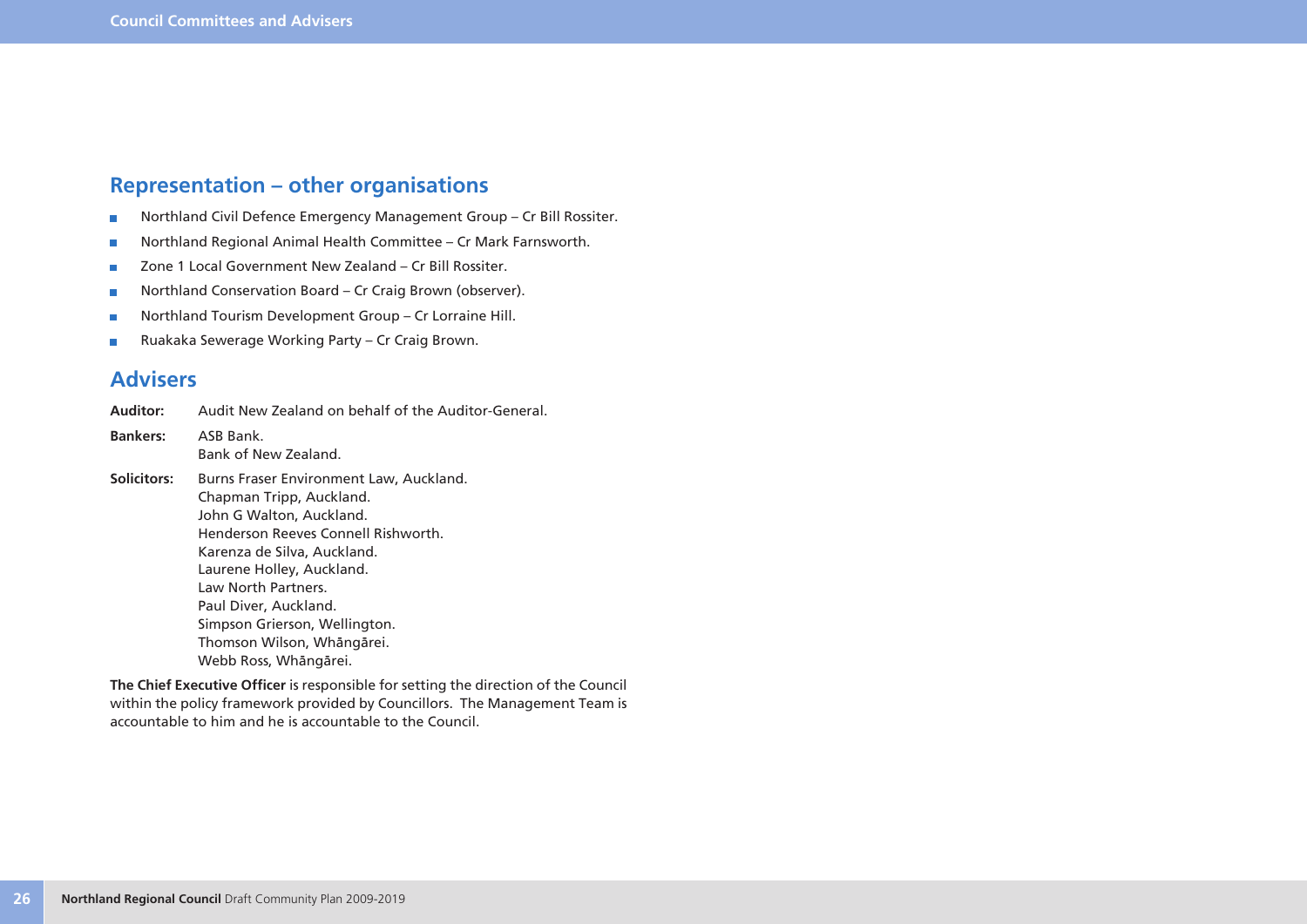# **Representation – other organisations**

- Northland Civil Defence Emergency Management Group Cr Bill Rossiter.  $\overline{\phantom{a}}$
- Northland Regional Animal Health Committee Cr Mark Farnsworth.  $\blacksquare$
- Zone 1 Local Government New Zealand Cr Bill Rossiter.  $\overline{\phantom{a}}$
- Northland Conservation Board Cr Craig Brown (observer).  $\overline{\phantom{a}}$
- Northland Tourism Development Group Cr Lorraine Hill.  $\overline{\phantom{a}}$
- Ruakaka Sewerage Working Party Cr Craig Brown.  $\overline{\phantom{a}}$

# **Advisers**

| <b>Auditor:</b>    | Audit New Zealand on behalf of the Auditor-General.                                                                                                                                                                                                                                                                                        |
|--------------------|--------------------------------------------------------------------------------------------------------------------------------------------------------------------------------------------------------------------------------------------------------------------------------------------------------------------------------------------|
| <b>Bankers:</b>    | ASB Bank.<br>Bank of New Zealand.                                                                                                                                                                                                                                                                                                          |
| <b>Solicitors:</b> | Burns Fraser Environment Law, Auckland.<br>Chapman Tripp, Auckland.<br>John G Walton, Auckland.<br>Henderson Reeves Connell Rishworth.<br>Karenza de Silva, Auckland.<br>Laurene Holley, Auckland.<br>Law North Partners.<br>Paul Diver, Auckland.<br>Simpson Grierson, Wellington.<br>Thomson Wilson, Whängärei.<br>Webb Ross, Whāngārei. |

**The Chief Executive Officer** is responsible for setting the direction of the Council within the policy framework provided by Councillors. The Management Team is accountable to him and he is accountable to the Council.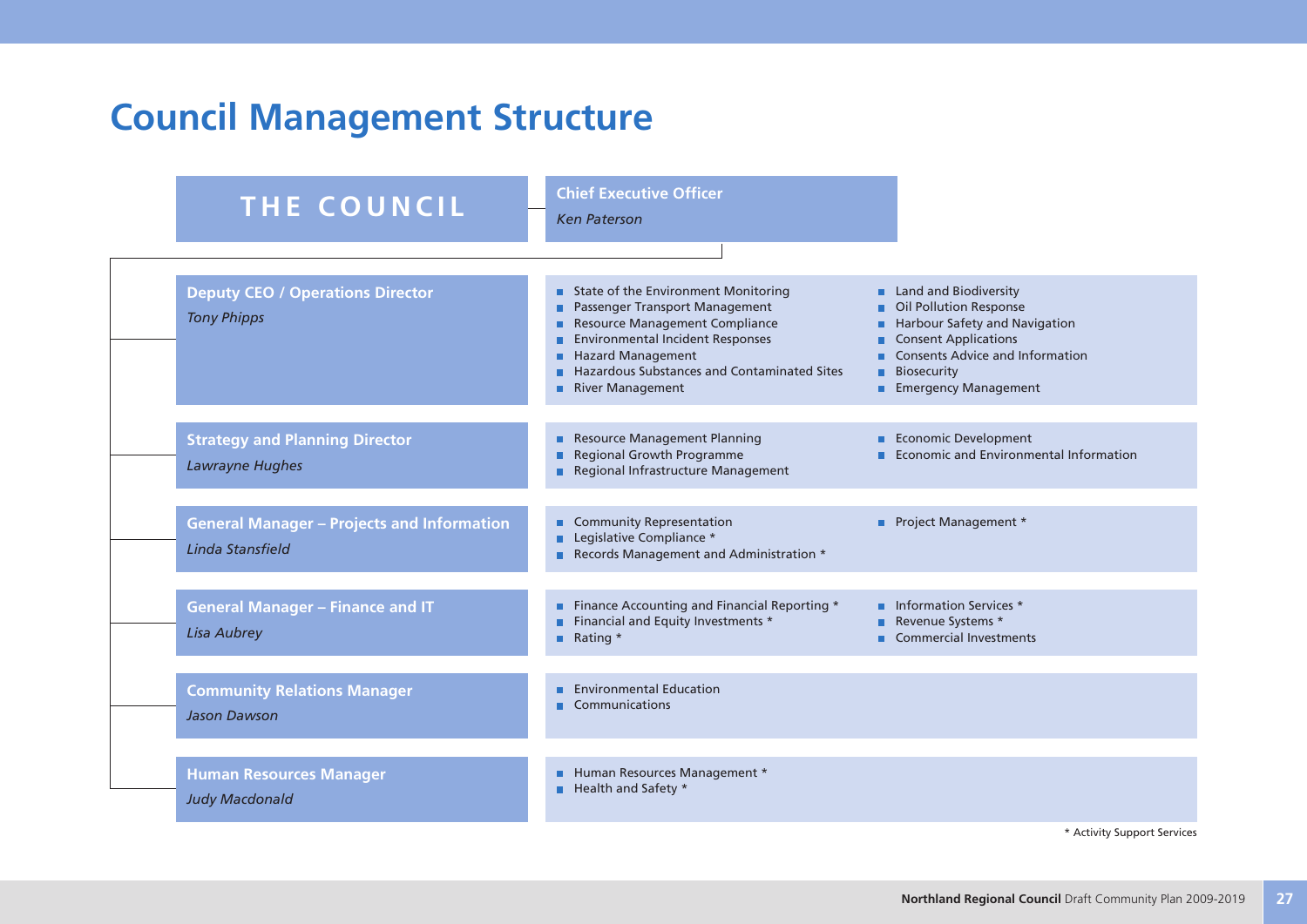# **Council Management Structure**

| THE COUNCIL                                                           | <b>Chief Executive Officer</b><br><b>Ken Paterson</b>                                                                                                                                                                                               |                                                                                                                                                                                                                   |
|-----------------------------------------------------------------------|-----------------------------------------------------------------------------------------------------------------------------------------------------------------------------------------------------------------------------------------------------|-------------------------------------------------------------------------------------------------------------------------------------------------------------------------------------------------------------------|
| <b>Deputy CEO / Operations Director</b><br><b>Tony Phipps</b>         | State of the Environment Monitoring<br>■ Passenger Transport Management<br>Resource Management Compliance<br>Environmental Incident Responses<br><b>Hazard Management</b><br>Hazardous Substances and Contaminated Sites<br><b>River Management</b> | Land and Biodiversity<br><b>Di</b> Oil Pollution Response<br>Harbour Safety and Navigation<br><b>Consent Applications</b><br><b>Consents Advice and Information</b><br>Biosecurity<br><b>Emergency Management</b> |
| <b>Strategy and Planning Director</b><br>Lawrayne Hughes              | Resource Management Planning<br><b>Regional Growth Programme</b><br>$\blacksquare$<br>Regional Infrastructure Management                                                                                                                            | Economic Development<br>Economic and Environmental Information<br>п.                                                                                                                                              |
| <b>General Manager - Projects and Information</b><br>Linda Stansfield | Community Representation<br>Legislative Compliance *<br>ш<br>Records Management and Administration *                                                                                                                                                | Project Management *                                                                                                                                                                                              |
| <b>General Manager - Finance and IT</b><br>Lisa Aubrey                | Finance Accounting and Financial Reporting *<br>Financial and Equity Investments *<br>$\blacksquare$ Rating *                                                                                                                                       | Information Services *<br>Revenue Systems *<br>Commercial Investments                                                                                                                                             |
| <b>Community Relations Manager</b><br><b>Jason Dawson</b>             | <b>Environmental Education</b><br>Communications<br>п                                                                                                                                                                                               |                                                                                                                                                                                                                   |
| <b>Human Resources Manager</b><br><b>Judy Macdonald</b>               | Human Resources Management *<br>Health and Safety *                                                                                                                                                                                                 |                                                                                                                                                                                                                   |
|                                                                       |                                                                                                                                                                                                                                                     | * Activity Support Services                                                                                                                                                                                       |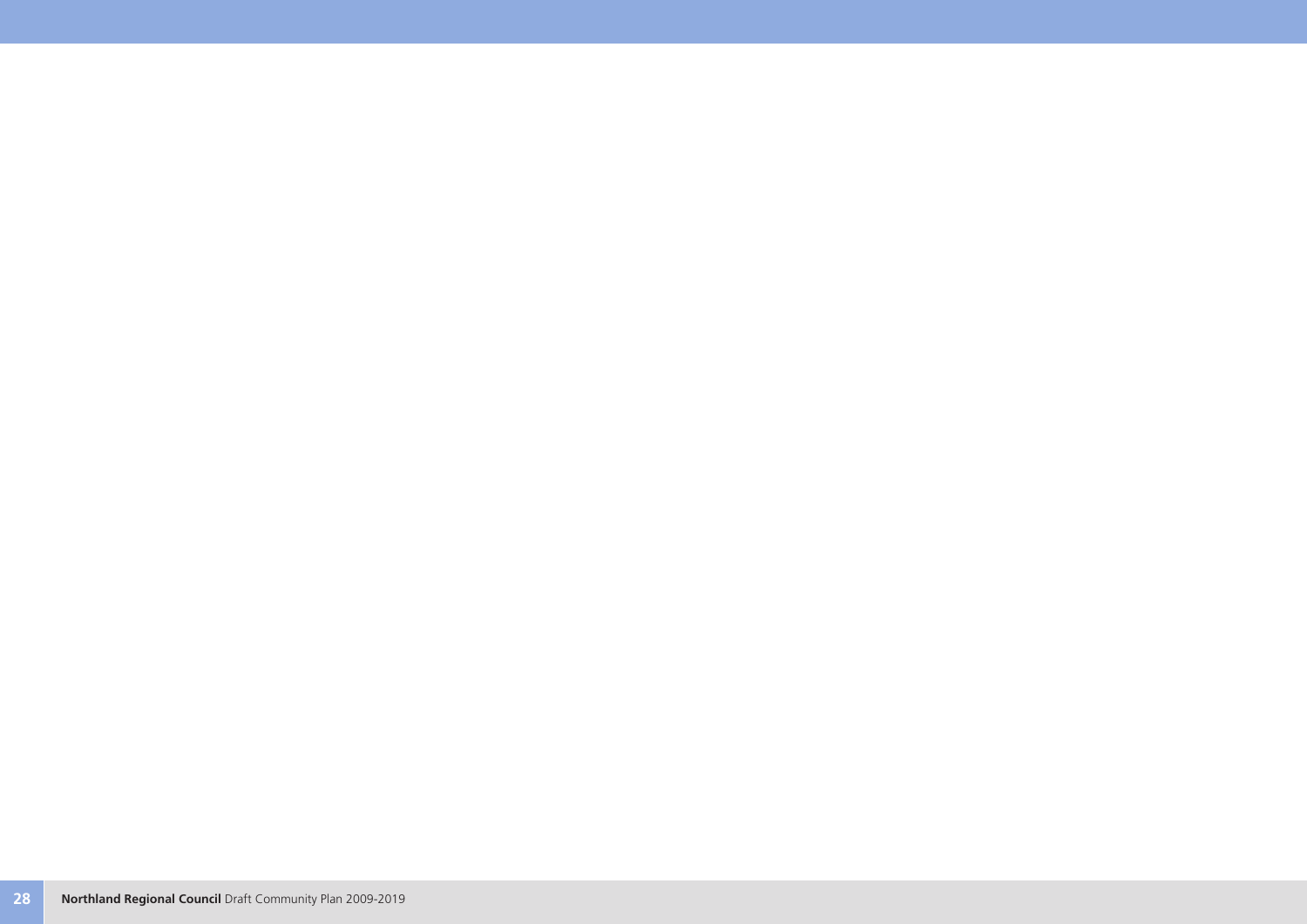## **Northland Regional Council** Draft Community Plan 2009-2019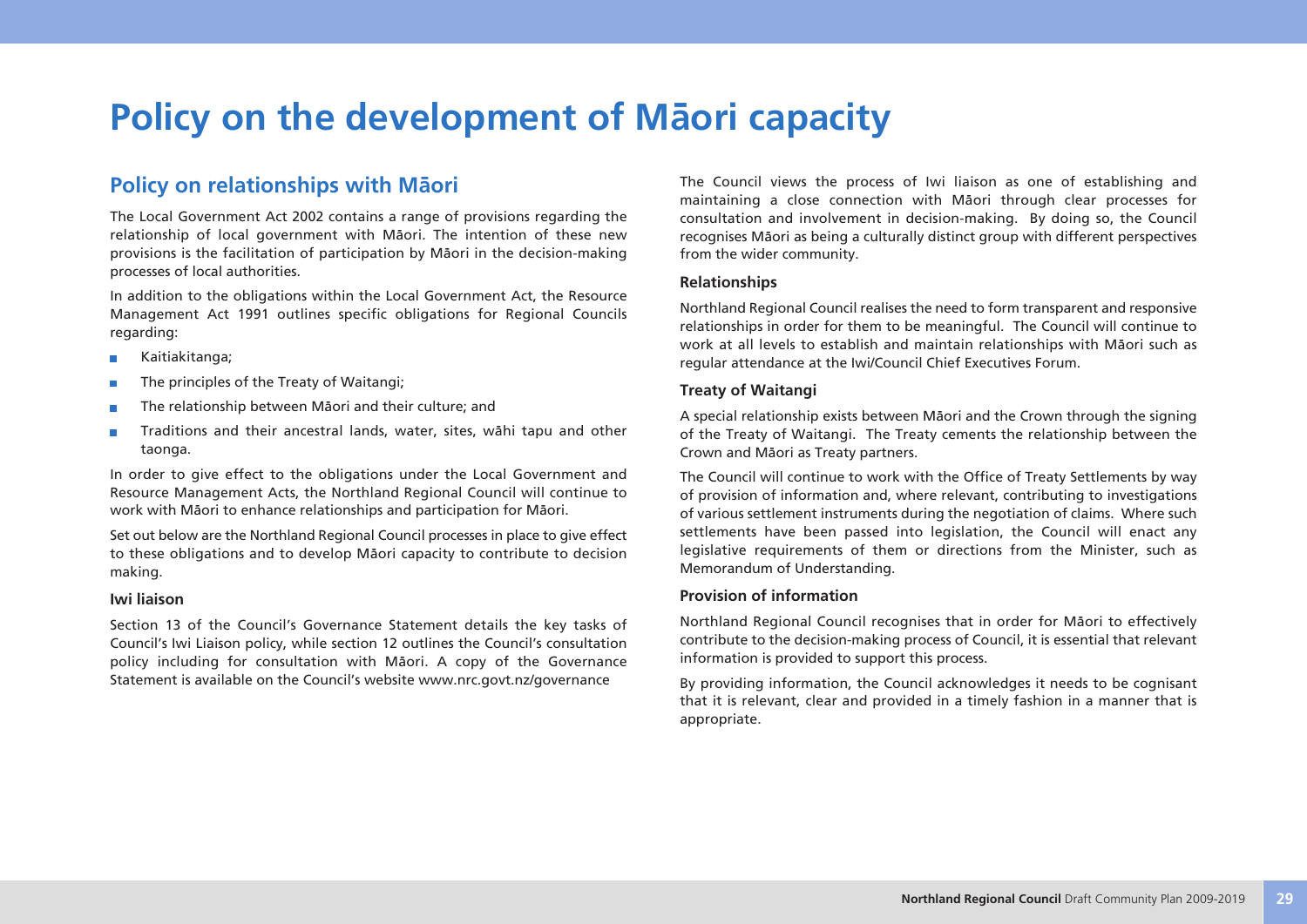# **Policy on the development of Mäori capacity**

# **Policy on relationships with Mäori**

The Local Government Act 2002 contains a range of provisions regarding the relationship of local government with Mäori. The intention of these new provisions is the facilitation of participation by Mäori in the decision-making processes of local authorities.

In addition to the obligations within the Local Government Act, the Resource Management Act 1991 outlines specific obligations for Regional Councils regarding:

- Kaitiakitanga;  $\blacksquare$
- The principles of the Treaty of Waitangi; r.
- The relationship between Mäori and their culture; and T.
- Traditions and their ancestral lands, water, sites, wähi tapu and other × taonga.

In order to give effect to the obligations under the Local Government and Resource Management Acts, the Northland Regional Council will continue to work with Mäori to enhance relationships and participation for Mäori.

Set out below are the Northland Regional Council processes in place to give effect to these obligations and to develop Mäori capacity to contribute to decision making.

#### **Iwi liaison**

Section 13 of the Council's Governance Statement details the key tasks of Council's Iwi Liaison policy, while section 12 outlines the Council's consultation policy including for consultation with Mäori. A copy of the Governance Statement is available on the Council's website www.nrc.govt.nz/governance

The Council views the process of Iwi liaison as one of establishing and maintaining a close connection with Mäori through clear processes for consultation and involvement in decision-making. By doing so, the Council recognises Mäori as being a culturally distinct group with different perspectives from the wider community.

### **Relationships**

Northland Regional Council realises the need to form transparent and responsive relationships in order for them to be meaningful. The Council will continue to work at all levels to establish and maintain relationships with Mäori such as regular attendance at the Iwi/Council Chief Executives Forum.

### **Treaty of Waitangi**

A special relationship exists between Mäori and the Crown through the signing of the Treaty of Waitangi. The Treaty cements the relationship between the Crown and Mäori as Treaty partners.

The Council will continue to work with the Office of Treaty Settlements by way of provision of information and, where relevant, contributing to investigations of various settlement instruments during the negotiation of claims. Where such settlements have been passed into legislation, the Council will enact any legislative requirements of them or directions from the Minister, such as Memorandum of Understanding.

#### **Provision of information**

Northland Regional Council recognises that in order for Mäori to effectively contribute to the decision-making process of Council, it is essential that relevant information is provided to support this process.

By providing information, the Council acknowledges it needs to be cognisant that it is relevant, clear and provided in a timely fashion in a manner that is appropriate.